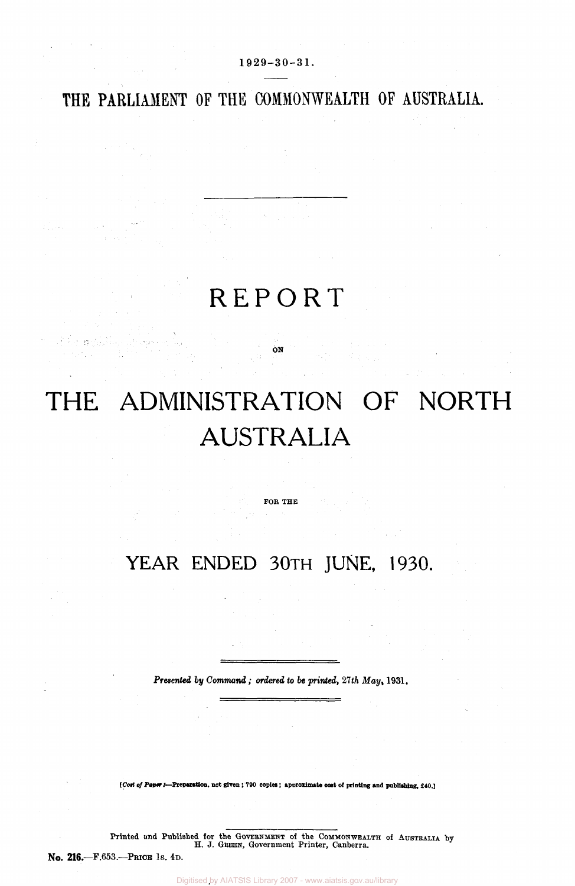THE PARLIAMENT OF THE COMMONWEALTH OF AUSTRALIA.

 $1929-30-31$ .

## **REPORT**

ON

# THE ADMINISTRATION OF NORTH AUSTRALIA

FOR THE

### YEAR ENDED 30TH JUNE, 1930.

*Presented by Command; ordered to be printed, 27 th May,* 1931.

*[Cost of Paper :-***Preparation, not given; 790 copies; approximate cost of printing and publishing, £40.]** 

Printed and Published for the Government of the Commonweallth of Australia by **H. J. GREEN, Government Printer, Canberra.** 

No. **216.—**F.653.—PRICE IS. 4D.

Digitised by AIATSIS Library 2007 - www.aiatsis.gov.au/library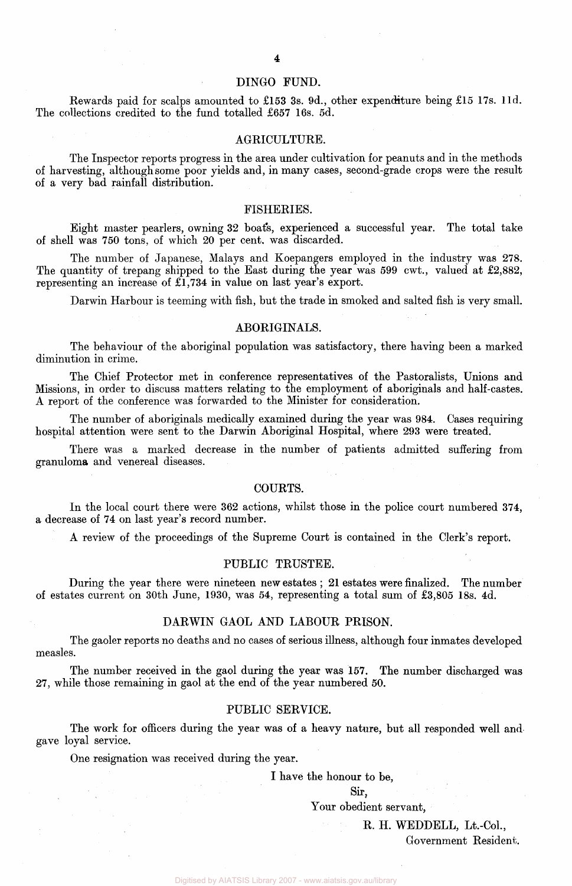#### DINGO FUND.

Rewards paid for scalps amounted to £153 3s. 9d., other expenditure being £15 17s. l1d. The collections credited to the fund totalled £657 16s. 5d.

#### AGRICULTURE.

The Inspector reports progress in the area under cultivation for peanuts and in the methods of harvesting, although some poor yields and, in many cases, second-grade crops were the result of a very bad rainfall distribution.

#### FISHERIES.

Eight master pearlers, owning 32 boat's, experienced a successful year. The total take of shell was 750 tons, of which 20 per cent, was discarded.

The number of Japanese, Malays and Koepangers employed in the industry was 278. The quantity of trepang shipped to the East during the year was 599 cwt., valued at £2,882, representing an increase of £1,734 in value on last year's export.

Darwin Harbour is teeming with fish, but the trade in smoked and salted fish is very small.

#### ABORIGINALS.

The behaviour of the aboriginal population was satisfactory, there having been a marked diminution in crime.

The Chief Protector met in conference representatives of the Pastoralists, Unions and Missions, in order to discuss matters relating to the employment of aboriginals and half-castes. A report of the conference was forwarded to the Minister for consideration.

The number of aboriginals medically examined during the year was 984. Cases requiring hospital attention were sent to the Darwin Aboriginal Hospital, where 293 were treated.

There was a marked decrease in the number of patients admitted suffering from granuloma and venereal diseases.

#### COURTS.

In the local court there were 362 actions, whilst those in the police court numbered 374, a decrease of 74 on last year's record number.

A review of the proceedings of the Supreme Court is contained in the Clerk's report.

#### PUBLIC TRUSTEE.

During the year there were nineteen new estates ; 21 estates were finalized. The number of estates current on 30th June, 1930, was 54, representing a total sum of £3,805 18s. 4d.

#### DARWIN GAOL AND LABOUR PRISON.

The gaoler reports no deaths and no cases of serious illness, although four inmates developed measles.

The number received in the gaol during the year was 157. The number discharged was 27, while those remaining in gaol at the end of the year numbered 50.

#### PUBLIC SERVICE.

The work for officers during the year was of a heavy nature, but all responded well and gave loyal service.

One resignation was received during the year.

I have the honour to be,

Sir,

Your obedient servant,

R. H. WEDDELL, Lt.-Col., Government Resident;.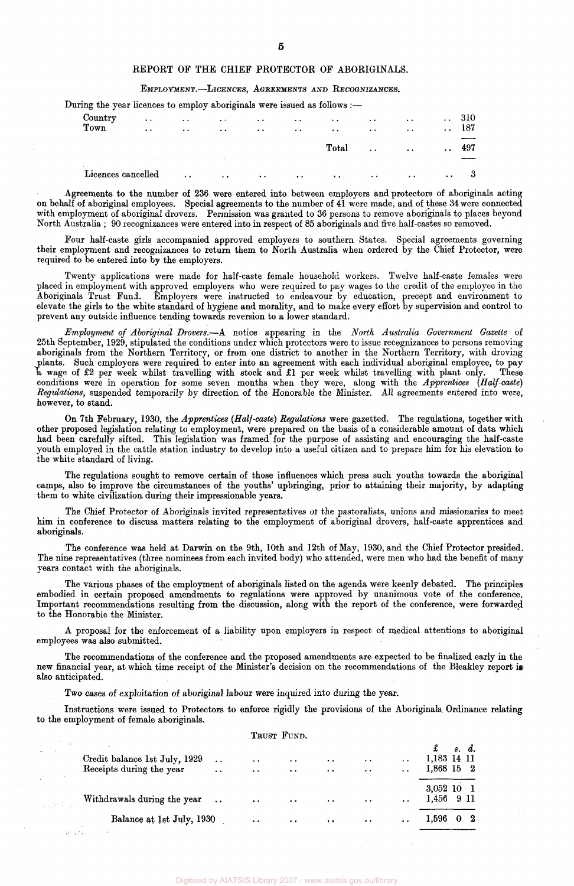#### REPORT OF THE CHIEF PROTECTOR OF ABORIGINALS.

EMPLOYMENT.—LICENCES, AGREEMENTS AND RECOGNIZANCES.

During the year licences to employ aboriginals were issued as follows :-

| $\sim$          |                                                |        |                                 |  |                                                                                                                                                                                                                                                                                                                         | and a state of the state of |                                                                         | $\cdots$                                   |     |
|-----------------|------------------------------------------------|--------|---------------------------------|--|-------------------------------------------------------------------------------------------------------------------------------------------------------------------------------------------------------------------------------------------------------------------------------------------------------------------------|-----------------------------|-------------------------------------------------------------------------|--------------------------------------------|-----|
|                 | and the state of the                           |        | the control of the state of the |  | $\rm Total$                                                                                                                                                                                                                                                                                                             |                             | $\mathbf{r}$ and $\mathbf{r}$ are associated to the set of $\mathbf{r}$ |                                            | 497 |
| Country<br>Town | $\ddot{\phantom{a}}$ .<br>$\ddot{\phantom{0}}$ | $\sim$ |                                 |  | والمنافعات والمعقل والتعقيل والتعقيل والتعقيل والتعقيل والتعقيل والمعاريات<br>$\mathcal{L}^{\mathcal{A}}$ . The contract of the contract of the contract of the contract of the contract of the contract of the contract of the contract of the contract of the contract of the contract of the contract of the contrac | $\cdot$ .                   | <b><i>Committee States</i></b>                                          | $\ldots$ 310<br>$\sim$ 100 $\pm$ 100 $\pm$ | 187 |

Agreements to the number of 236 were entered into between employers and protectors of aboriginals acting on behalf of aboriginal employees. Special agreements to the number of 41 were made, and of these 34 were connected with employment of aboriginal drovers. Permission was granted to 36 persons to remove aboriginals to places beyond North Australia ; 90 recognizances were entered into in respect of 85 aboriginals and five half-castes so removed.

Four half-caste girls accompanied approved employers to southern States. Special agreements governing their employment and recognizances to return them to North Australia when ordered by the Chief Protector, were required to be entered into by the employers.

Twenty applications were made for half-caste female household workers. Twelve half-caste females were placed in employment with approved employers who were required to pay wages to the credit of the employee in the<br>Aboriginals Trust Fund. Employers were instructed to endeavour by education, precept and environment to Employers were instructed to endeavour by education, precept and environment to elevate the girls to the white standard of hygiene and morality, and to make every effort by supervision and control to prevent any outside influence tending towards reversion to a lower standard.

*Employment of Aboriginal Drovers.*—A notice appearing in the *North Australia Government Gazette* of 25th September, 1929, stipulated the conditions under which protectors were to issue recognizances to persons removing aboriginals from the Northern Territory, or from one district to another in the Northern Territory, with droving plants. Such employers were required to enter into an agreement with each individual aboriginal employee, to pay a wage of £2 per week whilst travelling with stock and £1 per week whilst travelling with plant only. These conditions were in operation for some seven months when they were, along with the *Apprentices (Half-caste) Regulations,* suspended temporarily by direction of the Honorable the Minister. All agreements entered into were, however, to stand.

On 7th February, 1930, the *Apprentices (Half-caste) Regulations* were gazetted. The regulations, together with other proposed legislation relating to employment, were prepared on the basis of a considerable amount of data which had been carefully sifted. This legislation was framed for the purpose of assisting and encouraging the half-caste youth employed in the cattle station industry to develop into a useful citizen and to prepare him for his elevation to the white standard of living.

The regulations sought to remove certain of those influences which press such youths towards the aboriginal camps, also to improve the circumstances of the youths' upbringing, prior to attaining their majority, by adapting them to white civilization during their impressionable years.

The Chief Protector of Aboriginals invited representatives of the pastoralists, unions and missionaries to meet him in conference to discuss matters relating to the employment of aboriginal drovers, half-caste apprentices and aboriginals.

The conference was held at Darwin on the 9th, 10th and 12th of May, 1930, and the Chief Protector presided. The nine representatives (three nominees from each invited body) who attended, were men who had the benefit of many years contact with the aboriginals.

The various phases of the employment of aboriginals listed on the agenda were keenly debated. The principles embodied in certain proposed amendments to regulations were approved by unanimous vote of the conference. Important recommendations resulting from the discussion, along with the report of the conference, were forwarded to the Honorable the Minister.

A proposal for the enforcement of a liability upon employers in respect of medical attentions to aboriginal employees was also submitted.

The recommendations of the conference and the proposed amendments are expected to be finalized early in the new financial year, at which time receipt of the Minister's decision on the recommendations of the Bleakley report is also anticipated.

Two cases of exploitation of aboriginal labour were inquired into during the year.

Instructions were issued to Protectors to enforce rigidly the provisions of the Aboriginals Ordinance relating to the employment of female aboriginals.

|              |                                                           |                                                |                                              | TRUST FUND.                           |                                   |                                   |                                              |                                         |
|--------------|-----------------------------------------------------------|------------------------------------------------|----------------------------------------------|---------------------------------------|-----------------------------------|-----------------------------------|----------------------------------------------|-----------------------------------------|
| $\sim 20$    | Credit balance 1st July, 1929<br>Receipts during the year | $\ddot{\phantom{a}}$<br>$\ddot{\phantom{a}}$ . | $\ddot{\phantom{1}}$<br>$\ddot{\phantom{a}}$ | $\ddot{\phantom{1}}$<br>$\sim$ $\sim$ | $\cdot$ .<br>$\ddot{\phantom{1}}$ | $\ddotsc$<br>$\ddot{\phantom{0}}$ | $\ddot{\phantom{0}}$<br>$\ddot{\phantom{1}}$ | £<br>s. d.<br>1,183 14 11<br>1,868 15 2 |
|              | Withdrawals during the year                               | $\sim 100$                                     | $\bullet$ $\bullet$                          | $\bullet$ $\bullet$                   | $\sim$ $\sim$                     | $\sim$ $\sim$                     | $\ddot{\phantom{1}}$                         | 3,052 10 1<br>1,456 9 11                |
| <b>SALES</b> | Balance at 1st July, 1930                                 |                                                | $\bullet$ $\bullet$                          | $\sim 100$ km s $^{-1}$               | $\cdots$                          | $\cdots$                          | $\bullet\hspace{0.4mm}\bullet\hspace{0.4mm}$ | 1,596<br>$0\quad 2$                     |

#### 5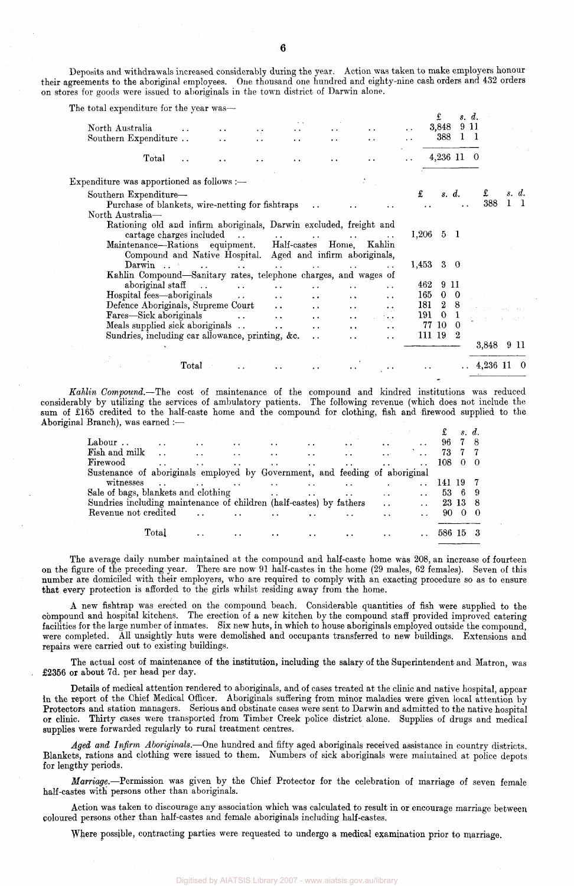Deposits and withdrawals increased considerably during the year. Action was taken to make employers honour their agreements to the aboriginal employees. One thousand one hundred and eighty-nine cash orders and 432 orders on stores for goods were issued to aboriginals in the town district of Darwin alone.

| The total expenditure for the year was—                                                        |                                        |                      |                      |                               |                      |                                              |                      |           | £              |             | s. d.    |              |       |
|------------------------------------------------------------------------------------------------|----------------------------------------|----------------------|----------------------|-------------------------------|----------------------|----------------------------------------------|----------------------|-----------|----------------|-------------|----------|--------------|-------|
| North Australia                                                                                |                                        | $\sim$ $\sim$        | $\cdot$ .            |                               |                      | $\bullet$                                    | $\ddot{\phantom{1}}$ |           | 3,848          |             | 9 11     |              |       |
| Southern Expenditure                                                                           | $\ddot{\phantom{0}}$                   |                      |                      | $\ddot{\phantom{1}}$          | $\ddot{\phantom{0}}$ | $\ddot{\phantom{0}}$                         | $\ddot{\phantom{1}}$ |           | 388            |             |          |              |       |
| Total                                                                                          | $\ddot{\phantom{1}}$                   |                      |                      |                               |                      |                                              |                      |           |                | 4,236 11 0  |          |              |       |
| Expenditure was apportioned as follows :-                                                      |                                        |                      |                      |                               |                      |                                              |                      |           |                |             |          |              |       |
| Southern Expenditure-                                                                          |                                        |                      |                      |                               |                      |                                              |                      | £         |                | s. d.       | £        |              | s. d. |
| Purchase of blankets, wire-netting for fishtraps                                               |                                        |                      |                      |                               |                      |                                              |                      |           |                |             | 388      | $\mathbf{1}$ |       |
| North Australia-                                                                               |                                        |                      |                      |                               |                      |                                              |                      |           |                |             |          |              |       |
| Rationing old and infirm aboriginals, Darwin excluded, freight and<br>cartage charges included |                                        |                      |                      |                               |                      |                                              |                      | $1,206$ 5 |                | - 1         |          |              |       |
| Maintenance-Rations equipment. Half-castes Home, Kahlin                                        |                                        |                      |                      | and the state of the state of |                      | $\ddot{\phantom{0}}$                         | $\ddot{\phantom{1}}$ |           |                |             |          |              |       |
| Compound and Native Hospital. Aged and infirm aboriginals,                                     |                                        |                      |                      |                               |                      |                                              |                      |           |                |             |          |              |       |
| Darwin                                                                                         | <b><i>Contract Contract States</i></b> | $\ddot{\phantom{0}}$ | $\ddot{\phantom{a}}$ |                               |                      |                                              |                      | 1,453     |                | $3 \quad 0$ |          |              |       |
| Kahlin Compound—Sanitary rates, telephone charges, and wages of                                |                                        |                      |                      |                               |                      |                                              |                      |           |                |             |          |              |       |
| aboriginal staff                                                                               |                                        |                      |                      |                               |                      | $\ddot{\phantom{0}}$                         |                      | 462       |                | 9 11        |          |              |       |
| Hospital fees—aboriginals                                                                      |                                        | $\ddot{\phantom{a}}$ | $\ddot{\phantom{a}}$ | $\ddot{\phantom{0}}$          | $\ddot{\phantom{1}}$ | $\ddot{\phantom{a}}$                         |                      | 165       | $\bf{0}$       | $\bf{0}$    |          |              |       |
| Defence Aboriginals, Supreme Court                                                             |                                        |                      | $\ddot{\phantom{a}}$ | $\ddot{\phantom{1}}$          |                      | $\ddot{\phantom{a}}$<br>$\ddot{\phantom{1}}$ |                      | 181       | $\overline{2}$ | -8          |          |              |       |
| Fares—Sick aboriginals                                                                         |                                        |                      | $\ddot{\phantom{0}}$ | $\ddot{\phantom{1}}$          |                      | $\ddot{\phantom{0}}$<br>39.X                 |                      | 191       | $\mathbf{0}$   |             |          |              |       |
| Meals supplied sick aboriginals                                                                |                                        |                      | $\cdot$ .            | $\ddot{\phantom{1}}$          |                      | $\bullet\hspace{0.4mm}\bullet\hspace{0.4mm}$ |                      |           | 77 10          | $\Omega$    |          |              |       |
| Sundries, including car allowance, printing, &c.                                               |                                        |                      |                      | $\ddot{\phantom{a}}$          | $\ddot{\phantom{a}}$ | $\ddot{\phantom{0}}$                         |                      | 111 19    |                | 2           |          |              |       |
|                                                                                                |                                        |                      |                      |                               |                      |                                              |                      |           |                |             | 3,848    |              | 9 11  |
|                                                                                                | Total                                  |                      |                      |                               |                      |                                              |                      |           |                |             | 4,236 11 |              | - 0   |
|                                                                                                |                                        |                      |                      |                               |                      |                                              |                      |           |                |             |          |              |       |

*Kahlin Compound.*—The cost of maintenance of the compound and kindred institutions was reduced considerably by utilizing the services of ambulatory patients. The following revenue (which does not include the sum of £165 credited to the half-caste home and the compound for clothing, fish and firewood supplied to the Aboriginal Branch), was earned :—

|                                                                             |                      |           |                      |               |                      |                       |                               |        |          | s. d. |  |
|-----------------------------------------------------------------------------|----------------------|-----------|----------------------|---------------|----------------------|-----------------------|-------------------------------|--------|----------|-------|--|
| Labour                                                                      | $\ddot{\phantom{a}}$ | $\cdots$  |                      |               | $\ddot{\phantom{0}}$ | $\bullet$ . $\bullet$ |                               | 96     |          |       |  |
| Fish and milk                                                               |                      |           |                      |               | $\ddot{\phantom{a}}$ |                       | $\bullet$ $\bullet$ $\bullet$ | 73     | 77       |       |  |
| Firewood                                                                    |                      |           |                      |               |                      |                       |                               | 108    | $\Omega$ |       |  |
| Sustenance of aboriginals employed by Government, and feeding of aboriginal |                      |           |                      |               |                      |                       |                               |        |          |       |  |
| witnesses                                                                   |                      |           |                      |               |                      |                       |                               | 141 19 |          |       |  |
| Sale of bags, blankets and clothing                                         |                      |           |                      | $\sim$ $\sim$ | $\ddot{\phantom{a}}$ |                       | $\cdot$ .                     | 53.    | - 6      |       |  |
| Sundries including maintenance of children (half-castes) by fathers         |                      |           |                      |               |                      |                       | $\sim$                        |        | 23 13 8  |       |  |
| Revenue not credited                                                        |                      |           | $\ddot{\phantom{1}}$ |               |                      |                       |                               | 90.    | $\theta$ |       |  |
|                                                                             | $\rm Total$          | $\cdot$ . | $\cdot$ .            |               |                      |                       |                               | 586    | 15       |       |  |

The average daily number maintained at the compound and half-caste home was 208, an increase of fourteen on the figure of the preceding year. There are now 91 half-castes in the home (29 males, 62 females). Seven of this number are domiciled with their employers, who are required to comply with an exacting procedure so as to ensure that every protection is afforded to the girls whilst residing away from the home.

A new fishtrap was erected on the compound beach. Considerable quantities of fish were supplied to the compound and hospital kitchens. The erection of a new kitchen by the compound staff provided improved catering facilities for the large number of inmates. Six new huts, in which to house aboriginals employed outside the compound, were completed. All unsightly huts were demolished and occupants transferred to new buildings. Extensions and repairs were carried out to existing buildings.

The actual cost of maintenance of the institution, including the salary of the Superintendent and Matron, was £2356 or about 7d. per head per day.

Details of medical attention rendered to aboriginals, and of cases treated at the clinic and native hospital, appear in the report of the Chief Medical Officer. Aboriginals suffering from minor maladies were given local attention by Protectors and station managers. Serious and obstinate cases were sent to Darwin and admitted to the native hospital or clinic. Thirty Cases were transported from Timber Creek police district alone. Supplies of drugs and medical supplies were forwarded regularly to rural treatment centres.

*Aged and Infirm Aboriginals.*—One hundred and fifty aged aboriginals received assistance in country districts. Blankets, rations and clothing were issued to them. Numbers of sick aboriginals were maintained at police depots for lengthy periods.

*Marriage.*—Permission was given by the Chief Protector for the celebration of marriage of seven female half-castes with persons other than aboriginals.

Action was taken to discourage any association which was calculated to result in or encourage marriage between coloured persons other than half-castes and female aboriginals including half-castes.

Where possible, contracting parties were requested to undergo a medical examination prior to marriage.